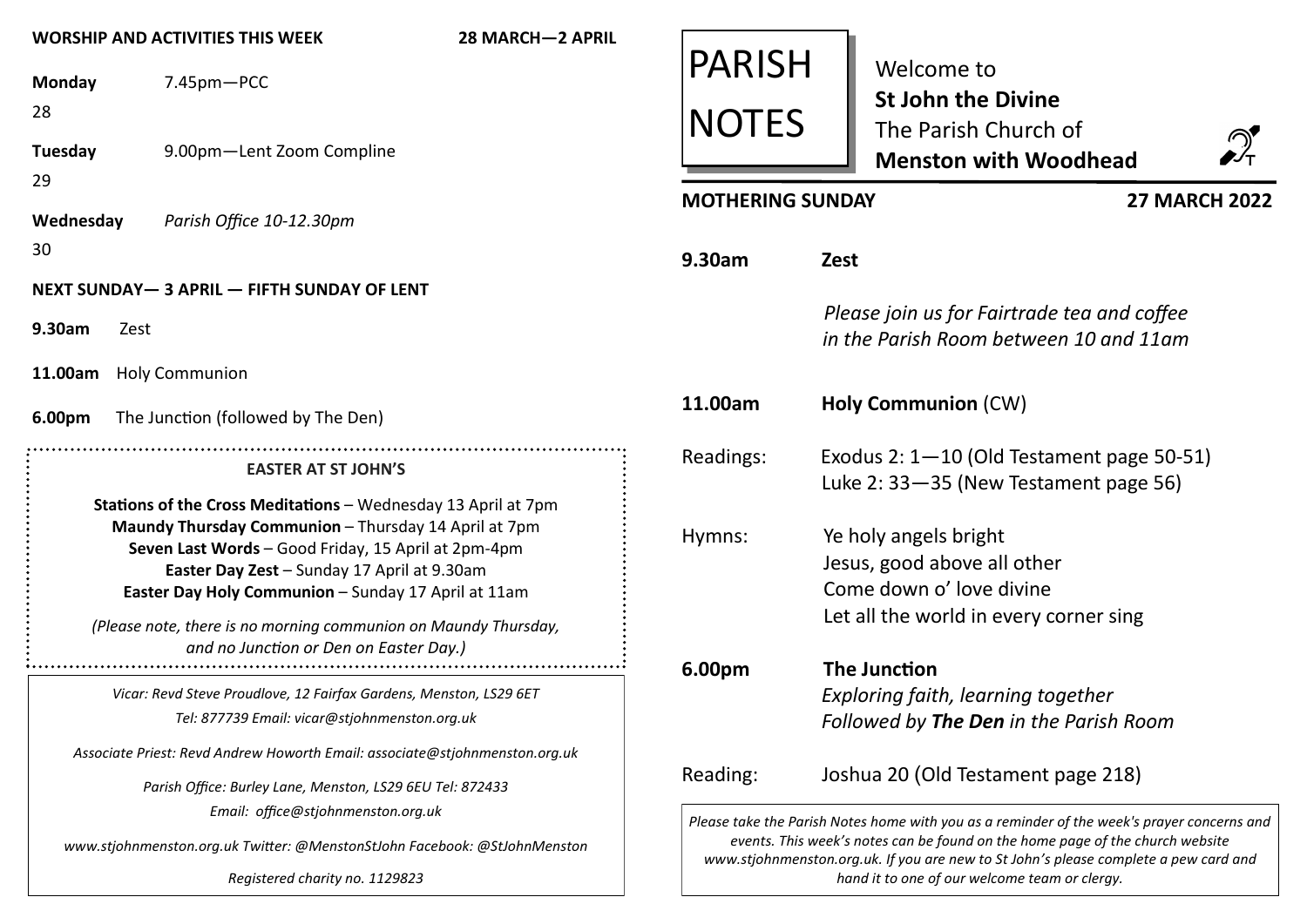| <b>WORSHIP AND ACTIVITIES THIS WEEK</b><br>7.45pm-PCC<br><b>Monday</b><br>28<br>9.00pm-Lent Zoom Compline<br>Tuesday<br>29                                                                                                       | 28 MARCH-2 APRIL | <b>PARISH</b><br><b>NOTES</b><br><b>MOTHERING SUNDAY</b>                                                                                                                                                                                                                                                             | Welcome to<br><b>St John the Divine</b><br>The Parish Church of<br><b>Menston with Woodhead</b><br><b>27 MARCH 2022</b>    |
|----------------------------------------------------------------------------------------------------------------------------------------------------------------------------------------------------------------------------------|------------------|----------------------------------------------------------------------------------------------------------------------------------------------------------------------------------------------------------------------------------------------------------------------------------------------------------------------|----------------------------------------------------------------------------------------------------------------------------|
| Parish Office 10-12.30pm<br>Wednesday                                                                                                                                                                                            |                  |                                                                                                                                                                                                                                                                                                                      |                                                                                                                            |
| 30                                                                                                                                                                                                                               |                  | 9.30am                                                                                                                                                                                                                                                                                                               | Zest                                                                                                                       |
| NEXT SUNDAY-3 APRIL - FIFTH SUNDAY OF LENT<br>9.30am<br>Zest<br>11.00am<br><b>Holy Communion</b>                                                                                                                                 |                  |                                                                                                                                                                                                                                                                                                                      | Please join us for Fairtrade tea and coffee<br>in the Parish Room between 10 and 11am                                      |
| The Junction (followed by The Den)<br>6.00pm                                                                                                                                                                                     |                  | 11.00am                                                                                                                                                                                                                                                                                                              | <b>Holy Communion (CW)</b>                                                                                                 |
| <b>EASTER AT ST JOHN'S</b><br>Stations of the Cross Meditations - Wednesday 13 April at 7pm                                                                                                                                      |                  | Readings:                                                                                                                                                                                                                                                                                                            | Exodus 2: $1-10$ (Old Testament page 50-51)<br>Luke 2: 33-35 (New Testament page 56)                                       |
| Maundy Thursday Communion - Thursday 14 April at 7pm<br>Seven Last Words - Good Friday, 15 April at 2pm-4pm<br>Easter Day Zest - Sunday 17 April at 9.30am<br>Easter Day Holy Communion - Sunday 17 April at 11am                |                  | Hymns:                                                                                                                                                                                                                                                                                                               | Ye holy angels bright<br>Jesus, good above all other<br>Come down o' love divine<br>Let all the world in every corner sing |
| (Please note, there is no morning communion on Maundy Thursday,<br>and no Junction or Den on Easter Day.)<br>Vicar: Revd Steve Proudlove, 12 Fairfax Gardens, Menston, LS29 6ET<br>Tel: 877739 Email: vicar@stjohnmenston.org.uk |                  | 6.00pm                                                                                                                                                                                                                                                                                                               | The Junction<br>Exploring faith, learning together<br>Followed by The Den in the Parish Room                               |
| Associate Priest: Revd Andrew Howorth Email: associate@stjohnmenston.org.uk<br>Parish Office: Burley Lane, Menston, LS29 6EU Tel: 872433                                                                                         |                  | Reading:                                                                                                                                                                                                                                                                                                             | Joshua 20 (Old Testament page 218)                                                                                         |
| Email: office@stjohnmenston.org.uk<br>www.stjohnmenston.org.uk Twitter: @MenstonStJohn Facebook: @StJohnMenston<br>Registered charity no. 1129823                                                                                |                  | Please take the Parish Notes home with you as a reminder of the week's prayer concerns and<br>events. This week's notes can be found on the home page of the church website<br>www.stjohnmenston.org.uk. If you are new to St John's please complete a pew card and<br>hand it to one of our welcome team or clergy. |                                                                                                                            |